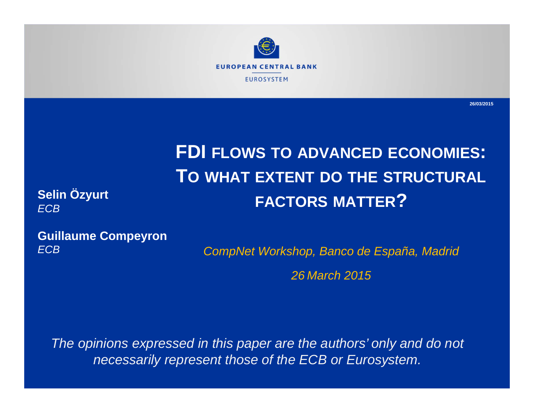

**26/03/2015**

# **FDI FLOWS TO ADVANCED ECONOMIES: TO WHAT EXTENT DO THE STRUCTURAL FACTORS MATTER?**

**Selin Özyurt**  *ECB*

**Guillaume Compeyron** *ECB*

*CompNet Workshop, Banco de España, Madrid 26 March 2015*

*The opinions expressed in this paper are the authors' only and do not necessarily represent those of the ECB or Eurosystem.*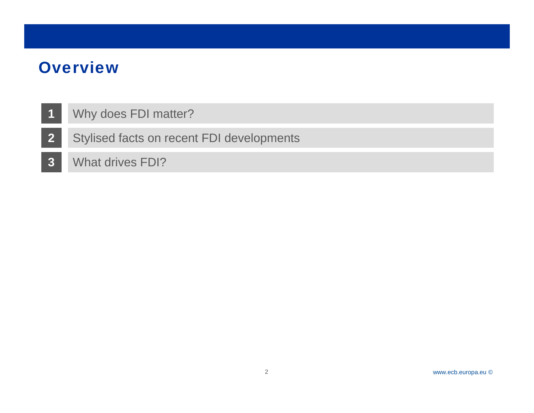- **1**Why does FDI matter?
- **2** Stylised facts on recent FDI developments
- **3**What drives FDI?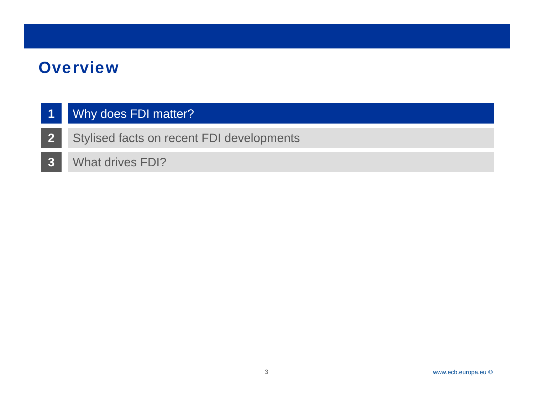#### **1**Why does FDI matter?

- **2** Stylised facts on recent FDI developments
- **3**What drives FDI?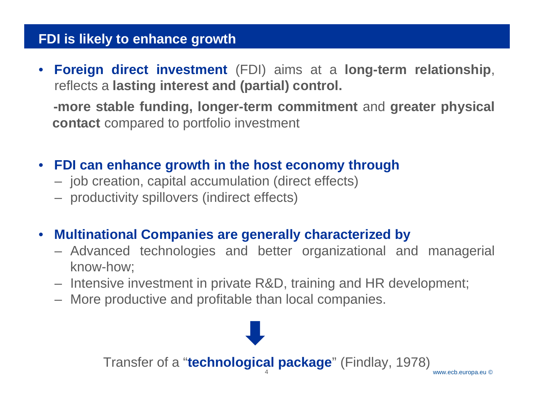## **FDI is likely to enhance growth**

• **Foreign direct investment** (FDI) aims at <sup>a</sup> **long-term relationship**, reflects a **lasting interest and (partial) control.**

**-more stable funding, longer-term commitment** and **greater physical contact** compared to portfolio investment

- **FDI can enhance growth in the host economy through**
	- job creation, capital accumulation (direct effects)
	- productivity spillovers (indirect effects)
- $\bullet$  **Multinational Companies are generally characterized by**
	- Advanced technologies and better organizational and managerial know-how;
	- Intensive investment in private R&D, training and HR development;
	- More productive and profitable than local companies.

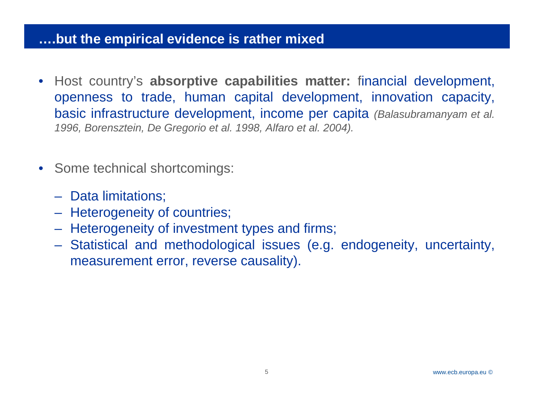## Rubric **….but the empirical evidence is rather mixed**

- Host country's **absorptive capabilities matter:** financial development, openness to trade, human capital development, innovation capacity, basic infrastructure development, income per capita *(Balasubramanyam et al. 1996, Borensztein, De Gregorio et al. 1998, Alfaro et al. 2004).*
- Some technical shortcomings:
	- Data limitations;
	- $\mathcal{L}_{\mathcal{A}}$  , and the set of  $\mathcal{L}_{\mathcal{A}}$ Heterogeneity of countries;
	- $\mathcal{L}_{\mathcal{A}}$  , and the set of  $\mathcal{L}_{\mathcal{A}}$ Heterogeneity of investment types and firms;
	- $\mathcal{L}_{\mathcal{A}}$  , and the set of  $\mathcal{L}_{\mathcal{A}}$  Statistical and methodological issues (e.g. endogeneity, uncertainty, measurement error, reverse causality).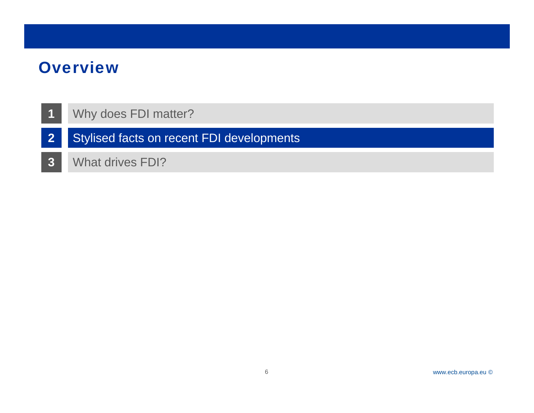- **1**Why does FDI matter?
- **2** Stylised facts on recent FDI developments
- **3** What drives FDI?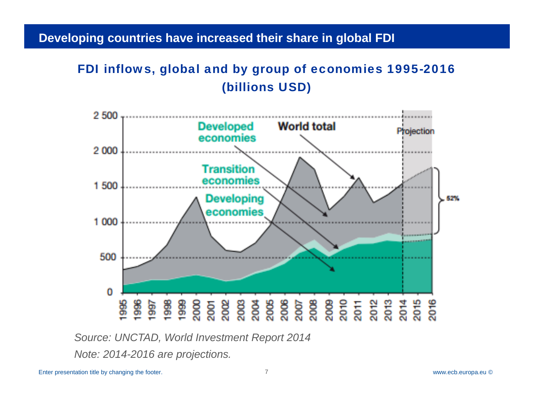#### Developing countries have increased their share in global FDI

## FDI inflows, global and by group of economies 1995-2016 (billions USD)



*Source: UNCTAD, World Investment Report 2014*

*Note: 2014-2016 are projections.*

Enter presentation title by changing the footer. 7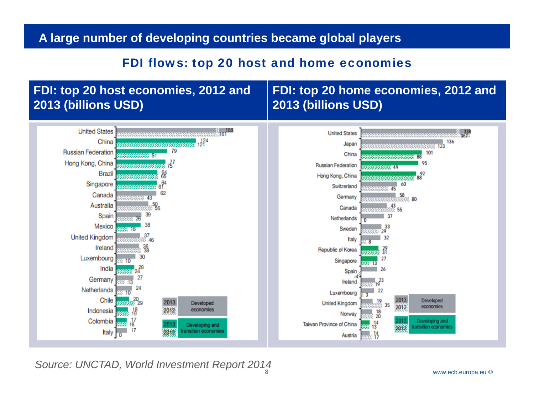#### **A large number of developing countries became global players**

#### FDI flows: top 20 host and home economies

#### **FDI: top 20 host economies, 2012 and 2013 (billions USD)**

## **FDI: top 20 home economies, 2012 and 2013 (billions USD)**



8*Source: UNCTAD, World Investment Report 2014*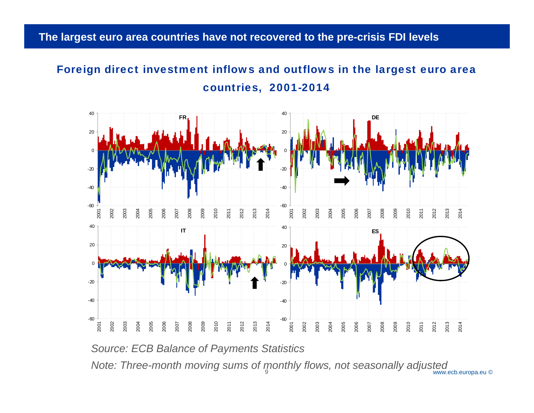#### The largest euro area countries have not recovered to the pre-crisis FDI levels

## Foreign direct investment inflows and outflows in the largest euro area countries, 2001-2014



*Source: ECB Balance of Payments Statistics*

Note: Three-month moving sums of monthly flows, not seasonally adjusted www.ecb.europa.eu ©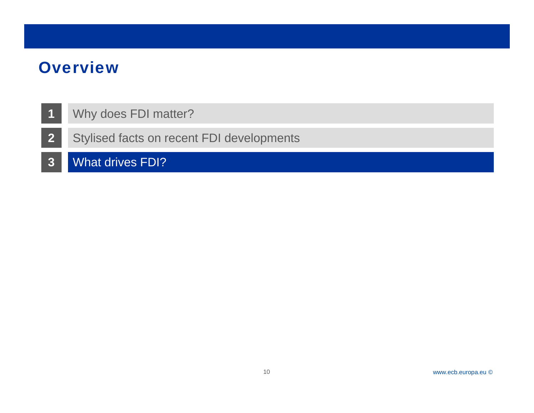- **1**Why does FDI matter?
- **2** Stylised facts on recent FDI developments
- **3**What drives FDI?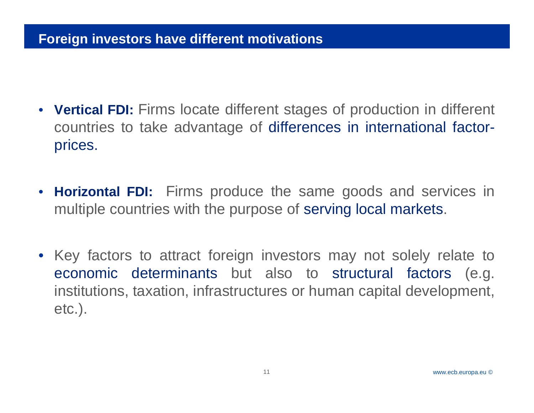## **Foreign investors have different motivations**

- **Vertical FDI:** Firms locate different stages of production in different countries to take advantage of differences in international factorprices.
- **Horizontal FDI:** Firms produce the same goods and services in multiple countries with the purpose of serving local markets.
- Key factors to attract foreign investors may not solely relate to economic determinants but also to structural factors (e.g. institutions, taxation, infrastructures or human capital development, etc.).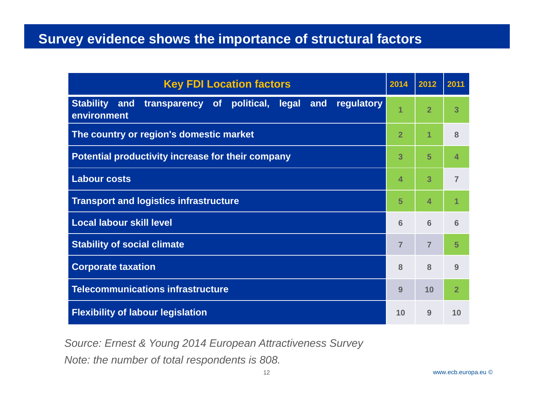## **Survey evidence shows the importance of structural factors**

| <b>Key FDI Location factors</b>                                                                       | 2014           | 2012           | 2011           |
|-------------------------------------------------------------------------------------------------------|----------------|----------------|----------------|
| <b>Stability</b><br>of political,<br>legal<br>and<br>regulatory<br>and<br>transparency<br>environment | 1              | $\overline{2}$ | 3              |
| The country or region's domestic market                                                               | $\overline{2}$ | 1              | 8              |
| Potential productivity increase for their company                                                     | 3              | 5              | 4              |
| <b>Labour costs</b>                                                                                   | 4              | 3              | $\overline{7}$ |
| <b>Transport and logistics infrastructure</b>                                                         | 5              | 4              | 1              |
| <b>Local labour skill level</b>                                                                       | 6              | 6              | 6              |
| <b>Stability of social climate</b>                                                                    | $\overline{7}$ | $\overline{7}$ | 5              |
| <b>Corporate taxation</b>                                                                             | 8              | 8              | 9              |
| <b>Telecommunications infrastructure</b>                                                              | 9              | 10             | $\overline{2}$ |
| <b>Flexibility of labour legislation</b>                                                              | 10             | 9              | 10             |

*Source: Ernest & Young 2014 European Attractiveness Survey* 

*Note: the number of total respondents is 808.*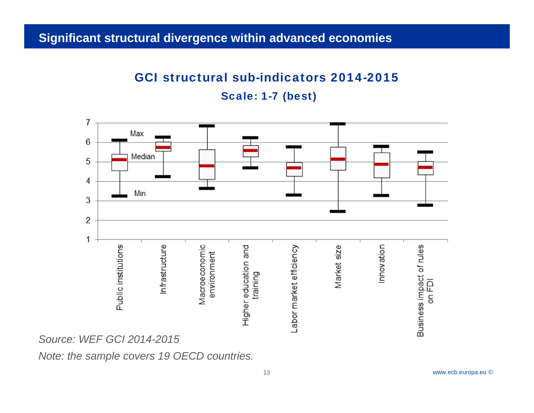#### Significant structural divergence within advanced economies

## GCI structural sub-indicators 2014-2015

Scale: 1-7 (best)



*Note: the sample covers 19 OECD countries.*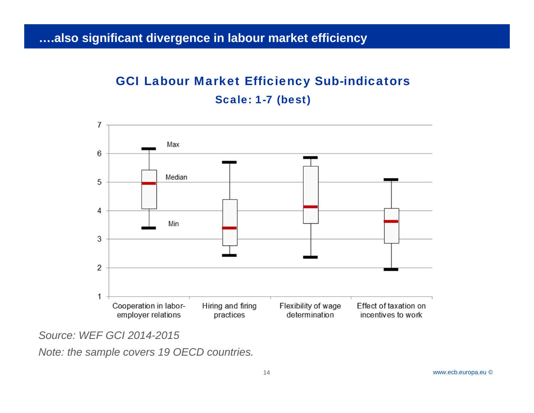#### Rubric **….also significant divergence in labour market efficiency**

## GCI Labour Market Efficiency Sub-indicators Scale: 1-7 (best)



*Source: WEF GCI 2014-2015*

*Note: the sample covers 19 OECD countries.*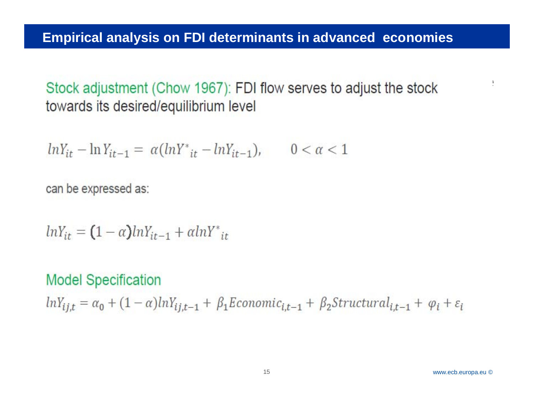*Economic Chow 1967*): FDI flow serves to adjust the stock towards its desired/equilibrium level

$$
lnY_{it} - lnY_{it-1} = \alpha (lnY^*_{it} - lnY_{it-1}), \qquad 0 < \alpha < 1
$$

can be expressed as:

 $lnY_{it} = (1-\alpha)lnY_{it-1} + \alpha lnY_{it}^*$ 

## **Model Specification**

 $lnY_{ij,t} = \alpha_0 + (1-\alpha)lnY_{ij,t-1} + \beta_1E$ conomic<sub>i,t-1</sub> +  $\beta_2Structural_{i,t-1} + \varphi_i + \varepsilon_i$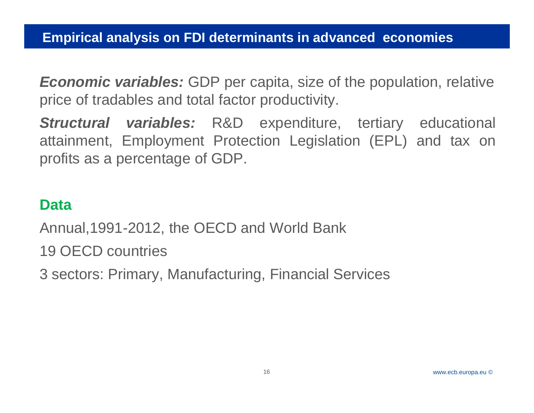*Economic variables:* GDP per capita, size of the population, relative price of tradables and total factor productivity.

*Structural variables:* R&D expenditure, tertiary educational attainment, Employment Protection Legislation (EPL) and tax on profits as <sup>a</sup> percentage of GDP.

## **Data**

Annual,1991-2012, the OECD and World Bank

19 OECD countries

3 sectors: Primary, Manufacturing, Financial Services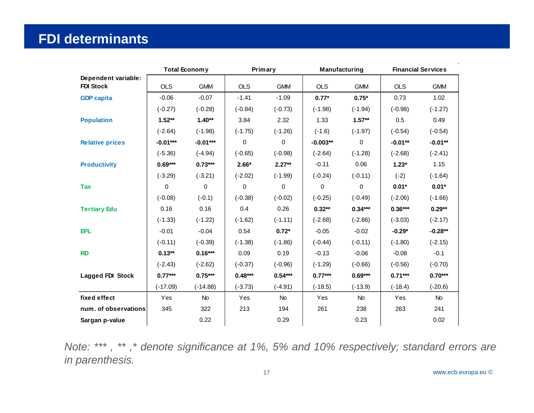## **FDI determinants**

|                                         |             | <b>Total Economy</b> | Primary    |            | Manufacturing |             | <b>Financial Services</b> |            |
|-----------------------------------------|-------------|----------------------|------------|------------|---------------|-------------|---------------------------|------------|
| Dependent variable:<br><b>FDI Stock</b> | <b>OLS</b>  | <b>GMM</b>           | <b>OLS</b> | <b>GMM</b> | <b>OLS</b>    | <b>GMM</b>  | <b>OLS</b>                | <b>GMM</b> |
| <b>GDP</b> capita                       | $-0.06$     | $-0.07$              | $-1.41$    | $-1.09$    | $0.77*$       | $0.75*$     | 0.73                      | 1.02       |
|                                         | $(-0.27)$   | $(-0.28)$            | $(-0.84)$  | $(-0.73)$  | $(-1.98)$     | $(-1.94)$   | $(-0.98)$                 | $(-1.27)$  |
| <b>Population</b>                       | $1.52**$    | $1.40**$             | 3.84       | 2.32       | 1.33          | $1.57**$    | 0.5                       | 0.49       |
|                                         | $(-2.64)$   | $(-1.98)$            | $(-1.75)$  | $(-1.26)$  | $(-1.6)$      | $(-1.97)$   | $(-0.54)$                 | $(-0.54)$  |
| <b>Relative prices</b>                  | $-0.01***$  | $-0.01***$           | 0          | $\pmb{0}$  | $-0.003**$    | $\mathbf 0$ | $-0.01**$                 | $-0.01**$  |
|                                         | $(-5.36)$   | $(-4.94)$            | $(-0.65)$  | $(-0.98)$  | $(-2.64)$     | $(-1.28)$   | $(-2.68)$                 | $(-2.41)$  |
| <b>Productivity</b>                     | $0.69***$   | $0.73***$            | $2.66*$    | $2.27**$   | $-0.11$       | 0.06        | $1.23*$                   | 1.15       |
|                                         | $(-3.29)$   | $(-3.21)$            | $(-2.02)$  | $(-1.99)$  | $(-0.24)$     | $(-0.11)$   | $(-2)$                    | $(-1.64)$  |
| <b>Tax</b>                              | $\mathbf 0$ | $\Omega$             | 0          | 0          | $\Omega$      | $\Omega$    | $0.01*$                   | $0.01*$    |
|                                         | $(-0.08)$   | $(-0.1)$             | $(-0.38)$  | $(-0.02)$  | $(-0.25)$     | $(-0.49)$   | $(-2.06)$                 | $(-1.66)$  |
| <b>Tertiary Edu</b>                     | 0.16        | 0.16                 | 0.4        | 0.26       | $0.32**$      | $0.34***$   | $0.36***$                 | $0.29**$   |
|                                         | $(-1.33)$   | $(-1.22)$            | $(-1.62)$  | $(-1.11)$  | $(-2.68)$     | $(-2.86)$   | $(-3.03)$                 | $(-2.17)$  |
| <b>EPL</b>                              | $-0.01$     | $-0.04$              | 0.54       | $0.72*$    | $-0.05$       | $-0.02$     | $-0.29*$                  | $-0.28**$  |
|                                         | $(-0.11)$   | $(-0.39)$            | $(-1.38)$  | $(-1.86)$  | $(-0.44)$     | $(-0.11)$   | $(-1.80)$                 | $(-2.15)$  |
| <b>RD</b>                               | $0.13**$    | $0.16***$            | 0.09       | 0.19       | $-0.13$       | $-0.06$     | $-0.08$                   | $-0.1$     |
|                                         | $(-2.43)$   | $(-2.62)$            | $(-0.37)$  | $(-0.96)$  | $(-1.29)$     | $(-0.66)$   | $(-0.56)$                 | $(-0.70)$  |
| <b>Lagged FDI Stock</b>                 | $0.77***$   | $0.75***$            | $0.48***$  | $0.54***$  | $0.77***$     | $0.69***$   | $0.71***$                 | $0.70***$  |
|                                         | $(-17.09)$  | $(-14.88)$           | $(-3.73)$  | $(-4.91)$  | $(-18.5)$     | $(-13.9)$   | $(-18.4)$                 | $(-20.6)$  |
| fixed effect                            | Yes         | No                   | Yes        | <b>No</b>  | Yes           | <b>No</b>   | Yes                       | No         |
| num. of observations                    | 345         | 322                  | 213        | 194        | 261           | 238         | 263                       | 241        |
| Sargan p-value                          |             | 0.22                 |            | 0.29       |               | 0.23        |                           | 0.02       |

Note: \*\*\*, \*\*, \* denote significance at 1%, 5% and 10% respectively; standard errors are *in parenthesis.*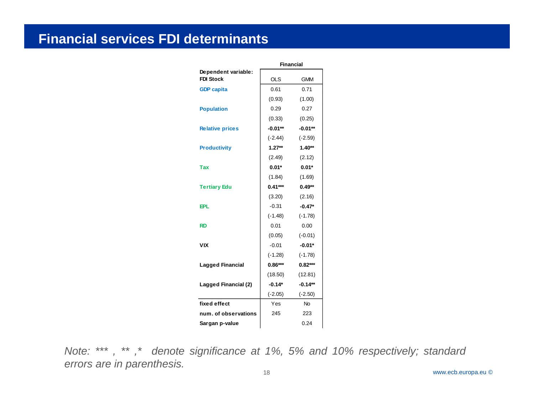#### **Financial services FDI determinants**

|                                         | <b>Financial</b> |            |  |
|-----------------------------------------|------------------|------------|--|
| Dependent variable:<br><b>FDI Stock</b> | <b>OLS</b>       | <b>GMM</b> |  |
| <b>GDP capita</b>                       | 0.61             | 0.71       |  |
|                                         | (0.93)           | (1.00)     |  |
| <b>Population</b>                       | 0.29             | 0.27       |  |
|                                         | (0.33)           | (0.25)     |  |
| <b>Relative prices</b>                  | $-0.01**$        | $-0.01**$  |  |
|                                         | $(-2.44)$        | $(-2.59)$  |  |
| <b>Productivity</b>                     | $1.27**$         | $1.40**$   |  |
|                                         | (2.49)           | (2.12)     |  |
| Tax                                     | $0.01*$          | $0.01*$    |  |
|                                         | (1.84)           | (1.69)     |  |
| <b>Tertiary Edu</b>                     | $0.41***$        | $0.49**$   |  |
|                                         | (3.20)           | (2.16)     |  |
| EPL                                     | $-0.31$          | $-0.47*$   |  |
|                                         | $(-1.48)$        | $(-1.78)$  |  |
| RD                                      | 0.01             | 0.00       |  |
|                                         | (0.05)           | $(-0.01)$  |  |
| VIX                                     | $-0.01$          | $-0.01*$   |  |
|                                         | $(-1.28)$        | $(-1.78)$  |  |
| <b>Lagged Financial</b>                 | $0.86***$        | $0.82***$  |  |
|                                         | (18.50)          | (12.81)    |  |
| Lagged Financial (2)                    | $-0.14*$         | $-0.14**$  |  |
|                                         | $(-2.05)$        | $(-2.50)$  |  |
| fixed effect                            | Yes              | <b>No</b>  |  |
| num. of observations                    | 245              | 223        |  |
| Sargan p-value                          |                  | 0.24       |  |

Note: \*\*\*, \*\*,\* denote significance at 1%, 5% and 10% respectively; standard *errors are in parenthesis.*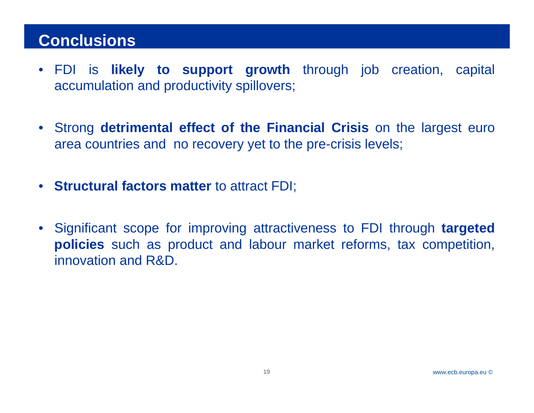## **Conclusions**

- FDI is **likely to support growth** through job creation, capital accumulation and productivity spillovers;
- Strong **detrimental effect of the Financial Crisis** on the largest euro area countries and no recovery yet to the pre-crisis levels;
- **Structural factors matter** to attract FDI;
- Significant scope for improving attractiveness to FDI through **targeted policies** such as product and labour market reforms, tax competition, innovation and R&D.